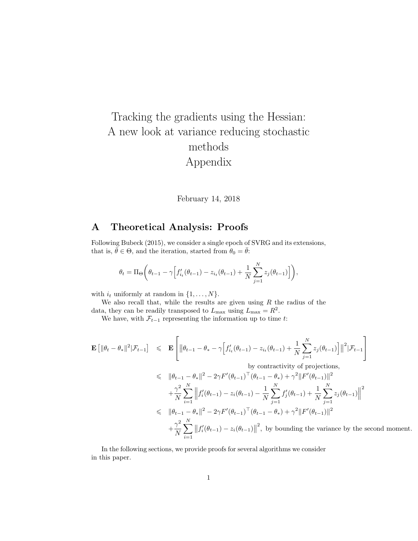# Tracking the gradients using the Hessian: A new look at variance reducing stochastic methods Appendix

#### February 14, 2018

## A Theoretical Analysis: Proofs

Following Bubeck (2015), we consider a single epoch of SVRG and its extensions, that is,  $\bar{\theta} \in \Theta$ , and the iteration, started from  $\theta_0 = \bar{\theta}$ :

$$
\theta_t = \Pi_\Theta \bigg(\theta_{t-1} - \gamma \Big[ f'_{i_t}(\theta_{t-1}) - z_{i_t}(\theta_{t-1}) + \frac{1}{N} \sum_{j=1}^N z_j(\theta_{t-1}) \Big] \bigg),
$$

with  $i_t$  uniformly at random in  $\{1, \ldots, N\}$ .

We also recall that, while the results are given using  $R$  the radius of the data, they can be readily transposed to  $L_{\text{max}}$  using  $L_{\text{max}} = R^2$ .

We have, with  $\mathcal{F}_{t-1}$  representing the information up to time t:

$$
\mathbf{E} \left[ \|\theta_t - \theta_*\|^2 |\mathcal{F}_{t-1} \right] \leq \mathbf{E} \left[ \|\theta_{t-1} - \theta_* - \gamma \Big[ f'_{i_t}(\theta_{t-1}) - z_{i_t}(\theta_{t-1}) + \frac{1}{N} \sum_{j=1}^N z_j(\theta_{t-1}) \Big] \|^2 |\mathcal{F}_{t-1} \right]
$$
  
by contractivity of projections,  

$$
\leq \|\theta_{t-1} - \theta_*\|^2 - 2\gamma F'(\theta_{t-1})^\top (\theta_{t-1} - \theta_*) + \gamma^2 \|F'(\theta_{t-1})\|^2
$$

$$
+ \frac{\gamma^2}{N} \sum_{i=1}^N \left\| f'_i(\theta_{t-1}) - z_i(\theta_{t-1}) - \frac{1}{N} \sum_{j=1}^N f'_j(\theta_{t-1}) + \frac{1}{N} \sum_{j=1}^N z_j(\theta_{t-1}) \right\|^2
$$

$$
\leq \|\theta_{t-1} - \theta_*\|^2 - 2\gamma F'(\theta_{t-1})^\top (\theta_{t-1} - \theta_*) + \gamma^2 \|F'(\theta_{t-1})\|^2
$$

$$
+ \frac{\gamma^2}{N} \sum_{i=1}^N \left\| f'_i(\theta_{t-1}) - z_i(\theta_{t-1}) \right\|^2, \text{ by bounding the variance by the second moment.}
$$

In the following sections, we provide proofs for several algorithms we consider in this paper.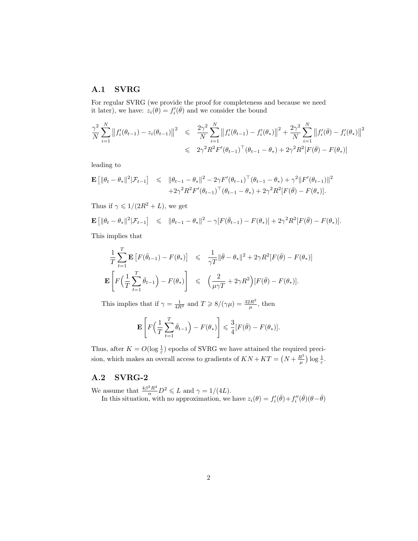#### A.1 SVRG

For regular SVRG (we provide the proof for completeness and because we need it later), we have:  $z_i(\theta) = f'_i(\bar{\theta})$  and we consider the bound

$$
\frac{\gamma^2}{N} \sum_{i=1}^N \left\|f_i'(\theta_{t-1}) - z_i(\theta_{t-1})\right\|^2 \leq \frac{2\gamma^2}{N} \sum_{i=1}^N \left\|f_i'(\theta_{t-1}) - f_i'(\theta_*)\right\|^2 + \frac{2\gamma^2}{N} \sum_{i=1}^N \left\|f_i'(\bar{\theta}) - f_i'(\theta_*)\right\|^2
$$
  

$$
\leq 2\gamma^2 R^2 F'(\theta_{t-1})^\top (\theta_{t-1} - \theta_*) + 2\gamma^2 R^2 [F(\bar{\theta}) - F(\theta_*)]
$$

leading to

$$
\mathbf{E} [ \|\theta_t - \theta_*\|^2 |\mathcal{F}_{t-1} ] \leq \|\theta_{t-1} - \theta_*\|^2 - 2\gamma F'(\theta_{t-1})^\top (\theta_{t-1} - \theta_*) + \gamma^2 \|F'(\theta_{t-1})\|^2 + 2\gamma^2 R^2 F'(\theta_{t-1})^\top (\theta_{t-1} - \theta_*) + 2\gamma^2 R^2 [F(\bar{\theta}) - F(\theta_*)].
$$

Thus if  $\gamma \leqslant 1/(2R^2 + L)$ , we get

$$
\mathbf{E}\left[ \|\theta_t - \theta_*\|^2 |\mathcal{F}_{t-1} \right] \leq \|\theta_{t-1} - \theta_*\|^2 - \gamma [F(\bar{\theta}_{t-1}) - F(\theta_*)] + 2\gamma^2 R^2 [F(\bar{\theta}) - F(\theta_*)].
$$

This implies that

$$
\frac{1}{T} \sum_{t=1}^{T} \mathbf{E} \left[ F(\bar{\theta}_{t-1}) - F(\theta_*) \right] \leq \frac{1}{\gamma T} \|\bar{\theta} - \theta_*\|^2 + 2\gamma R^2 [F(\bar{\theta}) - F(\theta_*)]
$$
  

$$
\mathbf{E} \left[ F\left(\frac{1}{T} \sum_{t=1}^{T} \bar{\theta}_{t-1}\right) - F(\theta_*) \right] \leq \left(\frac{2}{\mu \gamma T} + 2\gamma R^2 \right) [F(\bar{\theta}) - F(\theta_*)].
$$

This implies that if  $\gamma = \frac{1}{4R^2}$  and  $T \geqslant 8/(\gamma \mu) = \frac{32R^2}{\mu}$  $\frac{2R^2}{\mu}$ , then

$$
\mathbf{E}\left[F\left(\frac{1}{T}\sum_{t=1}^T \bar{\theta}_{t-1}\right) - F(\theta_*)\right] \leq \frac{3}{4} [F(\bar{\theta}) - F(\theta_*)].
$$

Thus, after  $K = O(\log \frac{1}{\varepsilon})$  epochs of SVRG we have attained the required precision, which makes an overall access to gradients of  $KN+KT = (N+\frac{R^2}{\mu})$  $\frac{R^2}{\mu}\big)\log\frac{1}{\varepsilon}.$ 

#### A.2 SVRG-2

We assume that  $\frac{4\beta^2 R^4}{\alpha} D^2 \leq L$  and  $\gamma = 1/(4L)$ . In this situation, with no approximation, we have  $z_i(\theta) = f'_i(\bar{\theta}) + f''_i(\bar{\theta}) (\theta - \bar{\theta})$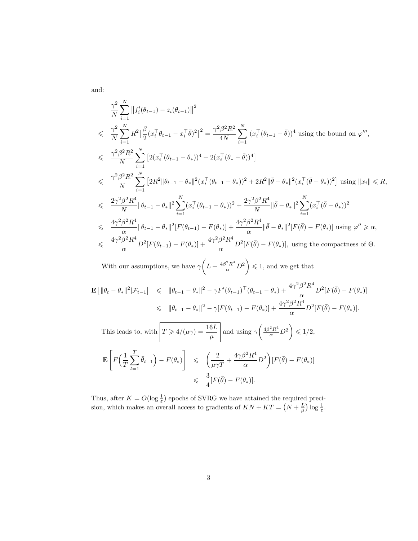and:

$$
\frac{\gamma^2}{N} \sum_{i=1}^N ||f'_i(\theta_{t-1}) - z_i(\theta_{t-1})||^2
$$
\n
$$
\leq \frac{\gamma^2}{N} \sum_{i=1}^N R^2 \Big[ \frac{\beta}{2} (x_i^\top \theta_{t-1} - x_i^\top \bar{\theta})^2 \Big]^2 = \frac{\gamma^2 \beta^2 R^2}{4N} \sum_{i=1}^N (x_i^\top (\theta_{t-1} - \bar{\theta}))^4 \text{ using the bound on } \varphi''',
$$
\n
$$
\leq \frac{\gamma^2 \beta^2 R^2}{N} \sum_{i=1}^N \Big[ 2(x_i^\top (\theta_{t-1} - \theta_*) )^4 + 2(x_i^\top (\theta_* - \bar{\theta}))^4 \Big]
$$
\n
$$
\leq \frac{\gamma^2 \beta^2 R^2}{N} \sum_{i=1}^N \Big[ 2R^2 ||\theta_{t-1} - \theta_*||^2 (x_i^\top (\theta_{t-1} - \theta_*))^2 + 2R^2 ||\bar{\theta} - \theta_*||^2 (x_i^\top (\bar{\theta} - \theta_*))^2 \Big] \text{ using } ||x_i|| \leq R,
$$
\n
$$
\leq \frac{2\gamma^2 \beta^2 R^4}{N} ||\theta_{t-1} - \theta_*||^2 \sum_{i=1}^N (x_i^\top (\theta_{t-1} - \theta_*))^2 + \frac{2\gamma^2 \beta^2 R^4}{N} ||\bar{\theta} - \theta_*||^2 \sum_{i=1}^N (x_i^\top (\bar{\theta} - \theta_*))^2
$$
\n
$$
\leq \frac{4\gamma^2 \beta^2 R^4}{\alpha} ||\theta_{t-1} - \theta_*||^2 [F(\theta_{t-1}) - F(\theta_*)] + \frac{4\gamma^2 \beta^2 R^4}{\alpha} ||\bar{\theta} - \theta_*||^2 [F(\bar{\theta}) - F(\theta_*)] \text{ using } \varphi'' \geq \alpha,
$$
\n
$$
\leq \frac{4\gamma^2 \beta^2 R^4}{\alpha} D^2 [F(\theta_{t-1}) - F(\theta_*)] + \frac{4\gamma^2 \beta^2 R^4}{\alpha} D^2 [F(\bar{\theta}) - F(\theta_*)], \text{ using the compactness of } \Theta.
$$

With our assumptions, we have  $\gamma\left(L + \frac{4\beta^2 R^4}{\alpha} D^2\right) \leq 1$ , and we get that

$$
\mathbf{E} \left[ \|\theta_t - \theta_*\|^2 |\mathcal{F}_{t-1} \right] \leq \|\theta_{t-1} - \theta_*\|^2 - \gamma F'(\theta_{t-1})^\top (\theta_{t-1} - \theta_*) + \frac{4\gamma^2 \beta^2 R^4}{\alpha} D^2 [F(\bar{\theta}) - F(\theta_*)] \leq \|\theta_{t-1} - \theta_*\|^2 - \gamma [F(\theta_{t-1}) - F(\theta_*)] + \frac{4\gamma^2 \beta^2 R^4}{\alpha} D^2 [F(\bar{\theta}) - F(\theta_*)].
$$
\nThis leads to, with

\n
$$
T \geq 4/(\mu \gamma) = \frac{16L}{\mu} \text{ and using } \gamma \left( \frac{4\beta^2 R^4}{\alpha} D^2 \right) \leq 1/2,
$$
\n
$$
\mathbf{E} \left[ F \left( \frac{1}{T} \sum_{t=1}^T \bar{\theta}_{t-1} \right) - F(\theta_*) \right] \leq \left( \frac{2}{\mu \gamma T} + \frac{4\gamma \beta^2 R^4}{\alpha} D^2 \right) [F(\bar{\theta}) - F(\theta_*)]
$$
\n
$$
\leq \frac{3}{4} [F(\bar{\theta}) - F(\theta_*)].
$$

Thus, after  $K = O(\log \frac{1}{\varepsilon})$  epochs of SVRG we have attained the required precision, which makes an overall access to gradients of  $KN+KT = (N+\frac{L}{\mu}) \log \frac{1}{\varepsilon}$ .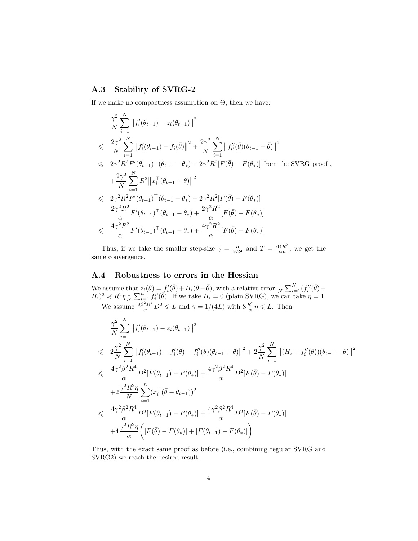#### A.3 Stability of SVRG-2

If we make no compactness assumption on  $\Theta$ , then we have:

$$
\frac{\gamma^2}{N} \sum_{i=1}^N ||f_i'(\theta_{t-1}) - z_i(\theta_{t-1})||^2
$$
\n
$$
\leq \frac{2\gamma^2}{N} \sum_{i=1}^N ||f_i'(\theta_{t-1}) - f_i(\bar{\theta})||^2 + \frac{2\gamma^2}{N} \sum_{i=1}^N ||f_i''(\bar{\theta})(\theta_{t-1} - \bar{\theta})||^2
$$
\n
$$
\leq 2\gamma^2 R^2 F'(\theta_{t-1})^\top (\theta_{t-1} - \theta_*) + 2\gamma^2 R^2 [F(\bar{\theta}) - F(\theta_*)] \text{ from the SVRG proof,}
$$
\n
$$
+ \frac{2\gamma^2}{N} \sum_{i=1}^N R^2 ||x_i^\top (\theta_{t-1} - \bar{\theta})||^2
$$
\n
$$
\leq 2\gamma^2 R^2 F'(\theta_{t-1})^\top (\theta_{t-1} - \theta_*) + 2\gamma^2 R^2 [F(\bar{\theta}) - F(\theta_*)]
$$
\n
$$
\frac{2\gamma^2 R^2}{\alpha} F'(\theta_{t-1})^\top (\theta_{t-1} - \theta_*) + \frac{2\gamma^2 R^2}{\alpha} [F(\bar{\theta}) - F(\theta_*)]
$$
\n
$$
\leq \frac{4\gamma^2 R^2}{\alpha} F'(\theta_{t-1})^\top (\theta_{t-1} - \theta_*) + \frac{4\gamma^2 R^2}{\alpha} [F(\bar{\theta}) - F(\theta_*)]
$$

Thus, if we take the smaller step-size  $\gamma = \frac{\alpha}{8R^2}$  and  $T = \frac{64R^2}{\alpha\mu}$  $\frac{4R^2}{\alpha\mu}$ , we get the same convergence.

#### A.4 Robustness to errors in the Hessian

We assume that  $z_i(\theta) = f'_i(\bar{\theta}) + H_i(\theta - \bar{\theta})$ , with a relative error  $\frac{1}{N} \sum_{i=1}^N (f''_i(\bar{\theta}) (H_i)^2 \preccurlyeq R^2 \eta \frac{1}{N} \sum_{i=1}^n \hat{f_i}''(\vec{\theta})$ . If we take  $H_i = 0$  (plain SVRG), we can take  $\eta = 1$ . We assume  $\frac{8\beta^2 R^4}{\alpha} D^2 \leq L$  and  $\gamma = 1/(4L)$  with  $8\frac{R^2}{\alpha}$  $rac{R^2}{\alpha} \eta \leqslant L$ . Then

$$
\frac{\gamma^2}{N} \sum_{i=1}^N \left\|f_i'(\theta_{t-1}) - z_i(\theta_{t-1})\right\|^2
$$
\n
$$
\leq 2 \frac{\gamma^2}{N} \sum_{i=1}^N \left\|f_i'(\theta_{t-1}) - f_i'(\bar{\theta}) - f_i''(\bar{\theta})(\theta_{t-1} - \bar{\theta})\right\|^2 + 2 \frac{\gamma^2}{N} \sum_{i=1}^N \left\|(H_i - f_i''(\bar{\theta}))(\theta_{t-1} - \bar{\theta})\right\|^2
$$
\n
$$
\leq \frac{4\gamma^2 \beta^2 R^4}{\alpha} D^2 [F(\theta_{t-1}) - F(\theta_*)] + \frac{4\gamma^2 \beta^2 R^4}{\alpha} D^2 [F(\bar{\theta}) - F(\theta_*)]
$$
\n
$$
+ 2 \frac{\gamma^2 R^2 \eta}{N} \sum_{i=1}^n (x_i^\top (\bar{\theta} - \theta_{t-1}))^2
$$
\n
$$
\leq \frac{4\gamma^2 \beta^2 R^4}{\alpha} D^2 [F(\theta_{t-1}) - F(\theta_*)] + \frac{4\gamma^2 \beta^2 R^4}{\alpha} D^2 [F(\bar{\theta}) - F(\theta_*)]
$$
\n
$$
+ 4 \frac{\gamma^2 R^2 \eta}{\alpha} \left( [F(\bar{\theta}) - F(\theta_*)] + [F(\theta_{t-1}) - F(\theta_*)] \right)
$$

Thus, with the exact same proof as before (i.e., combining regular SVRG and SVRG2) we reach the desired result.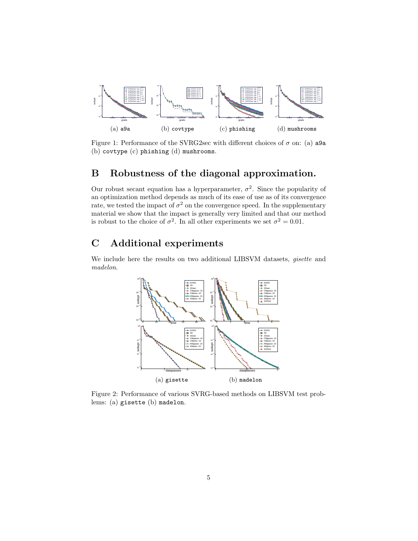

Figure 1: Performance of the SVRG2sec with different choices of  $\sigma$  on: (a) a9a (b) covtype (c) phishing (d) mushrooms.

### B Robustness of the diagonal approximation.

Our robust secant equation has a hyperparameter,  $\sigma^2$ . Since the popularity of an optimization method depends as much of its ease of use as of its convergence rate, we tested the impact of  $\sigma^2$  on the convergence speed. In the supplementary material we show that the impact is generally very limited and that our method is robust to the choice of  $\sigma^2$ . In all other experiments we set  $\sigma^2 = 0.01$ .

## C Additional experiments

We include here the results on two additional LIBSVM datasets, *gisette* and madelon.



Figure 2: Performance of various SVRG-based methods on LIBSVM test problems: (a) gisette (b) madelon.